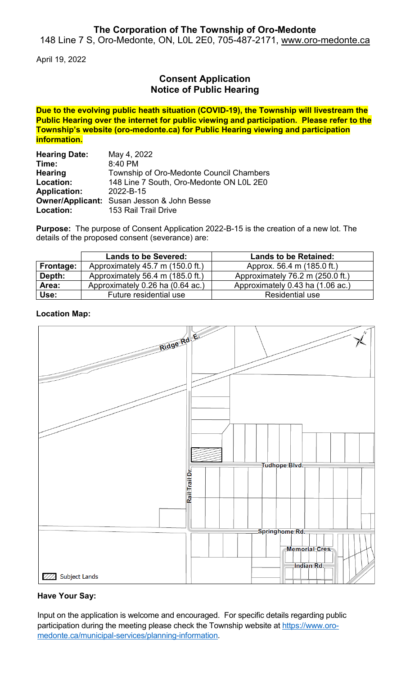## **The Corporation of The Township of Oro-Medonte**

148 Line 7 S, Oro-Medonte, ON, L0L 2E0, 705-487-2171, [www.oro-medonte.ca](http://www.oro-medonte.ca/)

April 19, 2022

# **Consent Application Notice of Public Hearing**

**Due to the evolving public heath situation (COVID-19), the Township will livestream the Public Hearing over the internet for public viewing and participation. Please refer to the Township's website (oro-medonte.ca) for Public Hearing viewing and participation information.**

| <b>Hearing Date:</b> | May 4, 2022                                       |  |
|----------------------|---------------------------------------------------|--|
| Time:                | 8:40 PM                                           |  |
| <b>Hearing</b>       | Township of Oro-Medonte Council Chambers          |  |
| Location:            | 148 Line 7 South, Oro-Medonte ON L0L 2E0          |  |
| <b>Application:</b>  | 2022-B-15                                         |  |
|                      | <b>Owner/Applicant:</b> Susan Jesson & John Besse |  |
| Location:            | 153 Rail Trail Drive                              |  |

**Purpose:** The purpose of Consent Application 2022-B-15 is the creation of a new lot. The details of the proposed consent (severance) are:

|           | <b>Lands to be Severed:</b>      | <b>Lands to be Retained:</b>     |
|-----------|----------------------------------|----------------------------------|
| Frontage: | Approximately 45.7 m (150.0 ft.) | Approx. 56.4 m (185.0 ft.)       |
| Depth:    | Approximately 56.4 m (185.0 ft.) | Approximately 76.2 m (250.0 ft.) |
| Area:     | Approximately 0.26 ha (0.64 ac.) | Approximately 0.43 ha (1.06 ac.) |
| Use:      | Future residential use           | Residential use                  |

#### **Location Map:**



## **Have Your Say:**

Input on the application is welcome and encouraged. For specific details regarding public participation during the meeting please check the Township website at [https://www.oro](https://www.oro-medonte.ca/municipal-services/planning-information)[medonte.ca/municipal-services/planning-information.](https://www.oro-medonte.ca/municipal-services/planning-information)